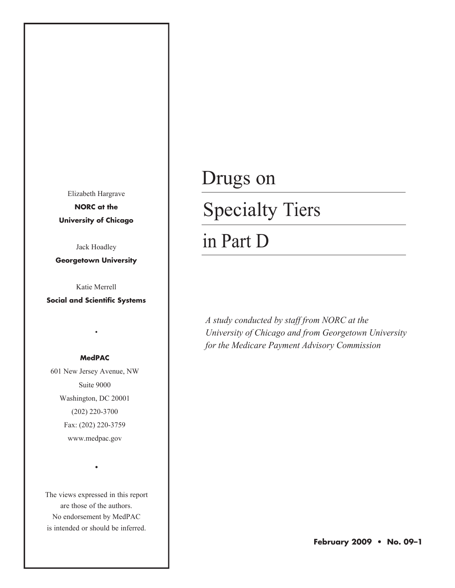Elizabeth Hargrave **NORC at the University of Chicago**

Jack Hoadley

**Georgetown University**

Katie Merrell

**Social and Scientific Systems**

•

#### **MedPAC**

601 New Jersey Avenue, NW Suite 9000 Washington, DC 20001 (202) 220-3700 Fax: (202) 220-3759 www.medpac.gov

The views expressed in this report are those of the authors. No endorsement by MedPAC is intended or should be inferred.

•

# Drugs on Specialty Tiers

# in Part D

*A study conducted by staff from NORC at the University of Chicago and from Georgetown University for the Medicare Payment Advisory Commission*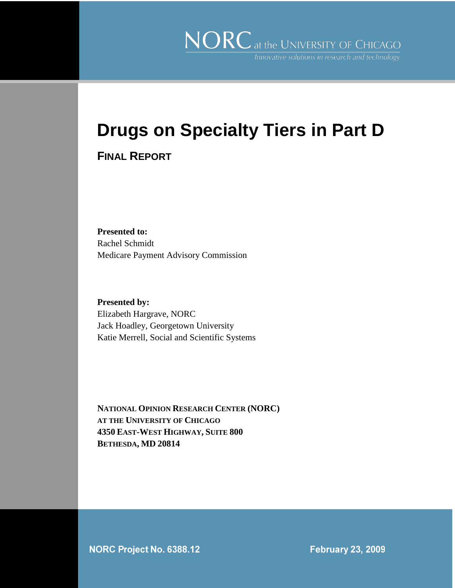# **Drugs on Specialty Tiers in Part D**

#### **FINAL REPORT**

**Presented to:** Rachel Schmidt Medicare Payment Advisory Commission

**Presented by:** Elizabeth Hargrave, NORC Jack Hoadley, Georgetown University Katie Merrell, Social and Scientific Systems

**NATIONAL OPINION RESEARCH CENTER (NORC) AT THE UNIVERSITY OF CHICAGO 4350 EAST-WEST HIGHWAY, SUITE 800 BETHESDA, MD 20814**

NORC Project No. 6388.12

**February 23, 2009**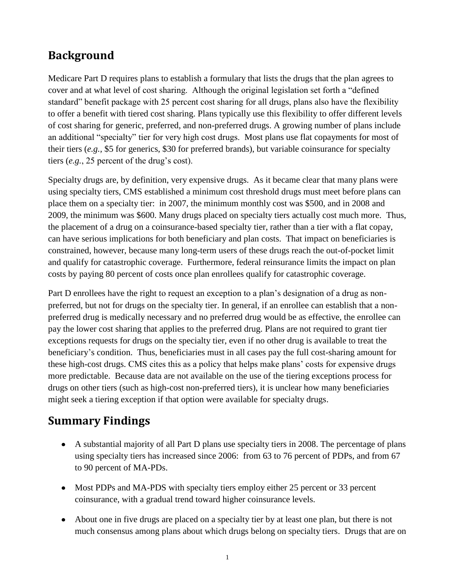# **Background**

Medicare Part D requires plans to establish a formulary that lists the drugs that the plan agrees to cover and at what level of cost sharing. Although the original legislation set forth a "defined standard" benefit package with 25 percent cost sharing for all drugs, plans also have the flexibility to offer a benefit with tiered cost sharing. Plans typically use this flexibility to offer different levels of cost sharing for generic, preferred, and non-preferred drugs. A growing number of plans include an additional "specialty" tier for very high cost drugs. Most plans use flat copayments for most of their tiers (*e.g.,* \$5 for generics, \$30 for preferred brands), but variable coinsurance for specialty tiers (*e.g.*, 25 percent of the drug's cost).

Specialty drugs are, by definition, very expensive drugs. As it became clear that many plans were using specialty tiers, CMS established a minimum cost threshold drugs must meet before plans can place them on a specialty tier: in 2007, the minimum monthly cost was \$500, and in 2008 and 2009, the minimum was \$600. Many drugs placed on specialty tiers actually cost much more. Thus, the placement of a drug on a coinsurance-based specialty tier, rather than a tier with a flat copay, can have serious implications for both beneficiary and plan costs. That impact on beneficiaries is constrained, however, because many long-term users of these drugs reach the out-of-pocket limit and qualify for catastrophic coverage. Furthermore, federal reinsurance limits the impact on plan costs by paying 80 percent of costs once plan enrollees qualify for catastrophic coverage.

Part D enrollees have the right to request an exception to a plan's designation of a drug as nonpreferred, but not for drugs on the specialty tier. In general, if an enrollee can establish that a nonpreferred drug is medically necessary and no preferred drug would be as effective, the enrollee can pay the lower cost sharing that applies to the preferred drug. Plans are not required to grant tier exceptions requests for drugs on the specialty tier, even if no other drug is available to treat the beneficiary's condition. Thus, beneficiaries must in all cases pay the full cost-sharing amount for these high-cost drugs. CMS cites this as a policy that helps make plans' costs for expensive drugs more predictable. Because data are not available on the use of the tiering exceptions process for drugs on other tiers (such as high-cost non-preferred tiers), it is unclear how many beneficiaries might seek a tiering exception if that option were available for specialty drugs.

### **Summary Findings**

- A substantial majority of all Part D plans use specialty tiers in 2008. The percentage of plans using specialty tiers has increased since 2006: from 63 to 76 percent of PDPs, and from 67 to 90 percent of MA-PDs.
- Most PDPs and MA-PDS with specialty tiers employ either 25 percent or 33 percent coinsurance, with a gradual trend toward higher coinsurance levels.
- About one in five drugs are placed on a specialty tier by at least one plan, but there is not much consensus among plans about which drugs belong on specialty tiers. Drugs that are on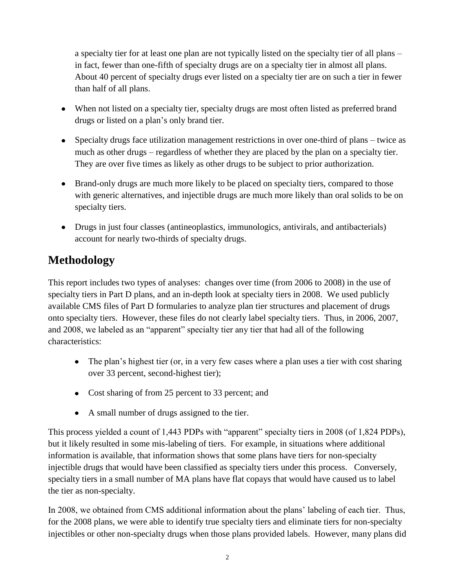a specialty tier for at least one plan are not typically listed on the specialty tier of all plans – in fact, fewer than one-fifth of specialty drugs are on a specialty tier in almost all plans. About 40 percent of specialty drugs ever listed on a specialty tier are on such a tier in fewer than half of all plans.

- When not listed on a specialty tier, specialty drugs are most often listed as preferred brand drugs or listed on a plan's only brand tier.
- Specialty drugs face utilization management restrictions in over one-third of plans twice as much as other drugs – regardless of whether they are placed by the plan on a specialty tier. They are over five times as likely as other drugs to be subject to prior authorization.
- Brand-only drugs are much more likely to be placed on specialty tiers, compared to those with generic alternatives, and injectible drugs are much more likely than oral solids to be on specialty tiers.
- Drugs in just four classes (antineoplastics, immunologics, antivirals, and antibacterials) account for nearly two-thirds of specialty drugs.

# **Methodology**

This report includes two types of analyses: changes over time (from 2006 to 2008) in the use of specialty tiers in Part D plans, and an in-depth look at specialty tiers in 2008. We used publicly available CMS files of Part D formularies to analyze plan tier structures and placement of drugs onto specialty tiers. However, these files do not clearly label specialty tiers. Thus, in 2006, 2007, and 2008, we labeled as an "apparent" specialty tier any tier that had all of the following characteristics:

- The plan's highest tier (or, in a very few cases where a plan uses a tier with cost sharing over 33 percent, second-highest tier);
- Cost sharing of from 25 percent to 33 percent; and
- A small number of drugs assigned to the tier.

This process yielded a count of 1,443 PDPs with "apparent" specialty tiers in 2008 (of 1,824 PDPs), but it likely resulted in some mis-labeling of tiers. For example, in situations where additional information is available, that information shows that some plans have tiers for non-specialty injectible drugs that would have been classified as specialty tiers under this process. Conversely, specialty tiers in a small number of MA plans have flat copays that would have caused us to label the tier as non-specialty.

In 2008, we obtained from CMS additional information about the plans' labeling of each tier. Thus, for the 2008 plans, we were able to identify true specialty tiers and eliminate tiers for non-specialty injectibles or other non-specialty drugs when those plans provided labels. However, many plans did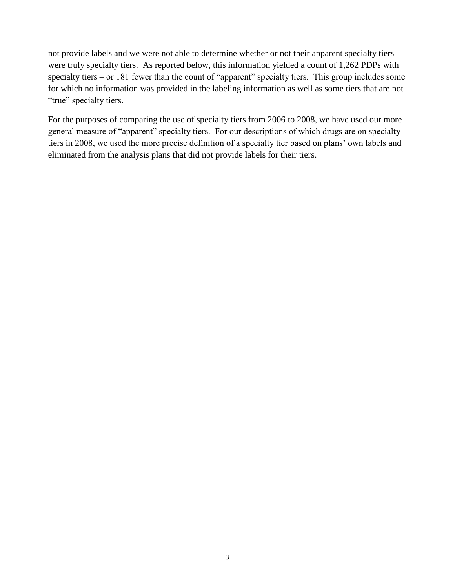not provide labels and we were not able to determine whether or not their apparent specialty tiers were truly specialty tiers. As reported below, this information yielded a count of 1,262 PDPs with specialty tiers – or 181 fewer than the count of "apparent" specialty tiers. This group includes some for which no information was provided in the labeling information as well as some tiers that are not "true" specialty tiers.

For the purposes of comparing the use of specialty tiers from 2006 to 2008, we have used our more general measure of "apparent" specialty tiers. For our descriptions of which drugs are on specialty tiers in 2008, we used the more precise definition of a specialty tier based on plans' own labels and eliminated from the analysis plans that did not provide labels for their tiers.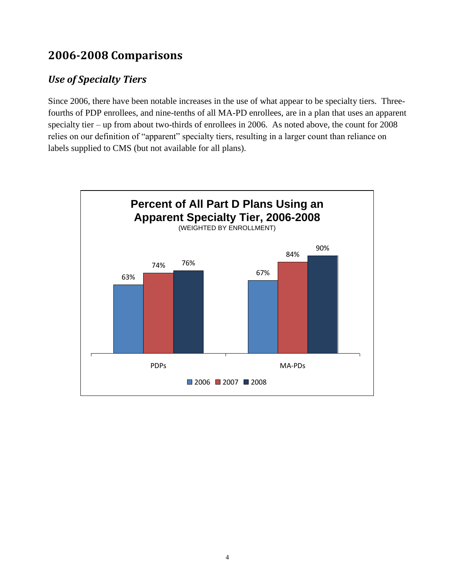# **2006-2008 Comparisons**

#### *Use of Specialty Tiers*

Since 2006, there have been notable increases in the use of what appear to be specialty tiers. Threefourths of PDP enrollees, and nine-tenths of all MA-PD enrollees, are in a plan that uses an apparent specialty tier – up from about two-thirds of enrollees in 2006. As noted above, the count for 2008 relies on our definition of "apparent" specialty tiers, resulting in a larger count than reliance on labels supplied to CMS (but not available for all plans).

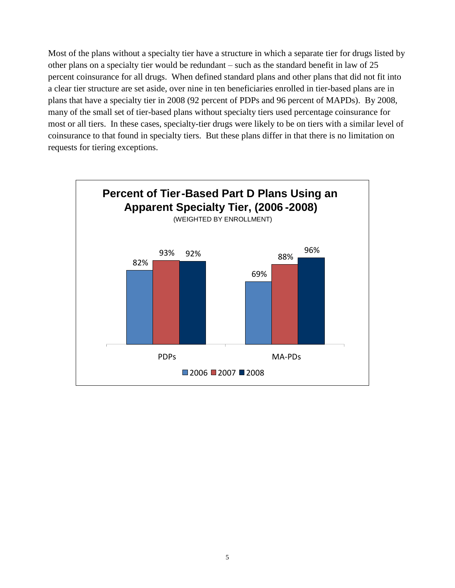Most of the plans without a specialty tier have a structure in which a separate tier for drugs listed by other plans on a specialty tier would be redundant – such as the standard benefit in law of 25 percent coinsurance for all drugs. When defined standard plans and other plans that did not fit into a clear tier structure are set aside, over nine in ten beneficiaries enrolled in tier-based plans are in plans that have a specialty tier in 2008 (92 percent of PDPs and 96 percent of MAPDs). By 2008, many of the small set of tier-based plans without specialty tiers used percentage coinsurance for most or all tiers. In these cases, specialty-tier drugs were likely to be on tiers with a similar level of coinsurance to that found in specialty tiers. But these plans differ in that there is no limitation on requests for tiering exceptions.

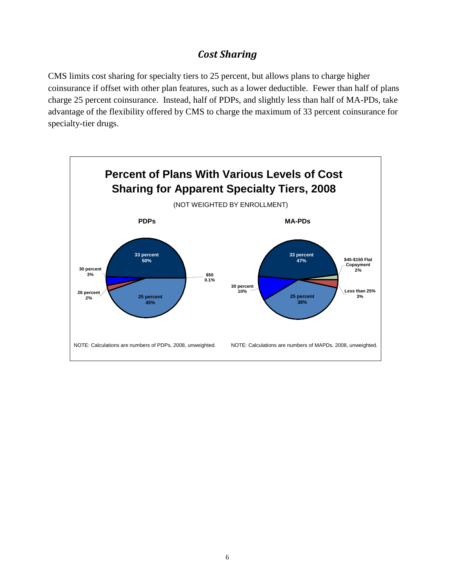#### *Cost Sharing*

CMS limits cost sharing for specialty tiers to 25 percent, but allows plans to charge higher coinsurance if offset with other plan features, such as a lower deductible. Fewer than half of plans charge 25 percent coinsurance. Instead, half of PDPs, and slightly less than half of MA-PDs, take advantage of the flexibility offered by CMS to charge the maximum of 33 percent coinsurance for specialty-tier drugs.

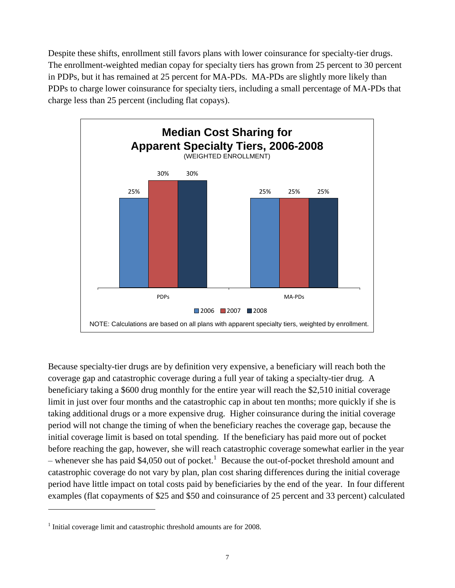Despite these shifts, enrollment still favors plans with lower coinsurance for specialty-tier drugs. The enrollment-weighted median copay for specialty tiers has grown from 25 percent to 30 percent in PDPs, but it has remained at 25 percent for MA-PDs. MA-PDs are slightly more likely than PDPs to charge lower coinsurance for specialty tiers, including a small percentage of MA-PDs that charge less than 25 percent (including flat copays).



Because specialty-tier drugs are by definition very expensive, a beneficiary will reach both the coverage gap and catastrophic coverage during a full year of taking a specialty-tier drug. A beneficiary taking a \$600 drug monthly for the entire year will reach the \$2,510 initial coverage limit in just over four months and the catastrophic cap in about ten months; more quickly if she is taking additional drugs or a more expensive drug. Higher coinsurance during the initial coverage period will not change the timing of when the beneficiary reaches the coverage gap, because the initial coverage limit is based on total spending. If the beneficiary has paid more out of pocket before reaching the gap, however, she will reach catastrophic coverage somewhat earlier in the year – whenever she has paid \$4,050 out of pocket.<sup>1</sup> Because the out-of-pocket threshold amount and catastrophic coverage do not vary by plan, plan cost sharing differences during the initial coverage period have little impact on total costs paid by beneficiaries by the end of the year. In four different examples (flat copayments of \$25 and \$50 and coinsurance of 25 percent and 33 percent) calculated

 $\overline{a}$ 

<sup>&</sup>lt;sup>1</sup> Initial coverage limit and catastrophic threshold amounts are for 2008.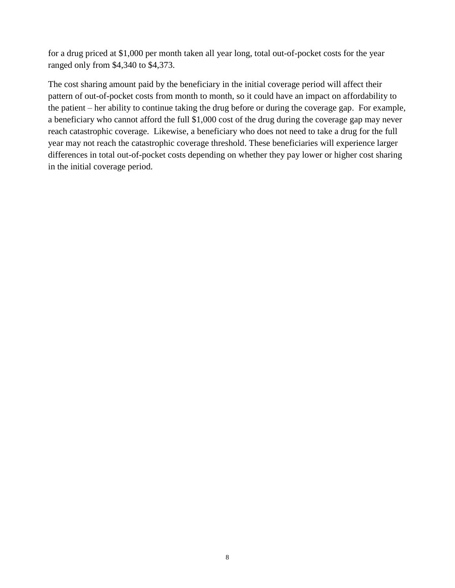for a drug priced at \$1,000 per month taken all year long, total out-of-pocket costs for the year ranged only from \$4,340 to \$4,373.

The cost sharing amount paid by the beneficiary in the initial coverage period will affect their pattern of out-of-pocket costs from month to month, so it could have an impact on affordability to the patient – her ability to continue taking the drug before or during the coverage gap. For example, a beneficiary who cannot afford the full \$1,000 cost of the drug during the coverage gap may never reach catastrophic coverage. Likewise, a beneficiary who does not need to take a drug for the full year may not reach the catastrophic coverage threshold. These beneficiaries will experience larger differences in total out-of-pocket costs depending on whether they pay lower or higher cost sharing in the initial coverage period.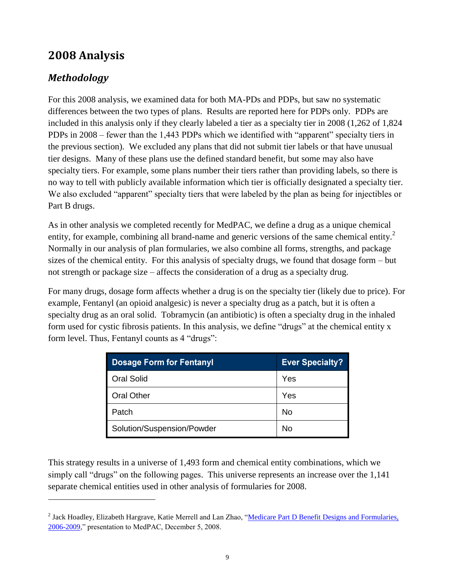### **2008 Analysis**

#### *Methodology*

 $\overline{a}$ 

For this 2008 analysis, we examined data for both MA-PDs and PDPs, but saw no systematic differences between the two types of plans. Results are reported here for PDPs only. PDPs are included in this analysis only if they clearly labeled a tier as a specialty tier in 2008 (1,262 of 1,824 PDPs in 2008 – fewer than the 1,443 PDPs which we identified with "apparent" specialty tiers in the previous section). We excluded any plans that did not submit tier labels or that have unusual tier designs. Many of these plans use the defined standard benefit, but some may also have specialty tiers. For example, some plans number their tiers rather than providing labels, so there is no way to tell with publicly available information which tier is officially designated a specialty tier. We also excluded "apparent" specialty tiers that were labeled by the plan as being for injectibles or Part B drugs.

As in other analysis we completed recently for MedPAC, we define a drug as a unique chemical entity, for example, combining all brand-name and generic versions of the same chemical entity.<sup>2</sup> Normally in our analysis of plan formularies, we also combine all forms, strengths, and package sizes of the chemical entity. For this analysis of specialty drugs, we found that dosage form – but not strength or package size – affects the consideration of a drug as a specialty drug.

For many drugs, dosage form affects whether a drug is on the specialty tier (likely due to price). For example, Fentanyl (an opioid analgesic) is never a specialty drug as a patch, but it is often a specialty drug as an oral solid. Tobramycin (an antibiotic) is often a specialty drug in the inhaled form used for cystic fibrosis patients. In this analysis, we define "drugs" at the chemical entity x form level. Thus, Fentanyl counts as 4 "drugs":

| <b>Dosage Form for Fentanyl</b> | <b>Ever Specialty?</b> |
|---------------------------------|------------------------|
| <b>Oral Solid</b>               | Yes                    |
| <b>Oral Other</b>               | Yes                    |
| Patch                           | No                     |
| Solution/Suspension/Powder      | No                     |

This strategy results in a universe of 1,493 form and chemical entity combinations, which we simply call "drugs" on the following pages. This universe represents an increase over the 1,141 separate chemical entities used in other analysis of formularies for 2008.

<sup>&</sup>lt;sup>2</sup> Jack Hoadley, Elizabeth Hargrave, Katie Merrell and Lan Zhao, "Medicare Part D Benefit Designs and Formularies, [2006-2009,](http://www.medpac.gov/transcripts/MedPAC%20Formulary%20Presentation%20-%20Hoadley%2012-05-08%20revised.pdf)" presentation to MedPAC, December 5, 2008.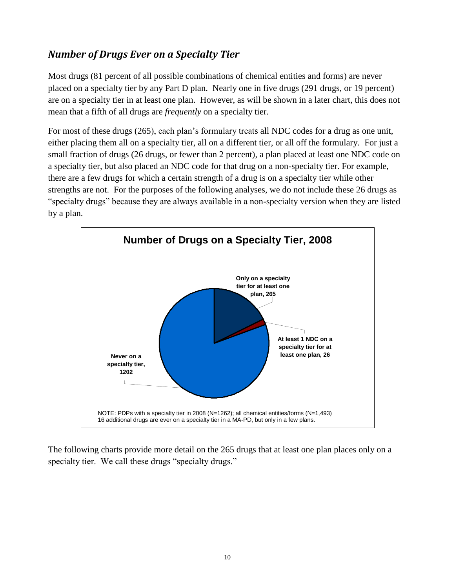#### *Number of Drugs Ever on a Specialty Tier*

Most drugs (81 percent of all possible combinations of chemical entities and forms) are never placed on a specialty tier by any Part D plan. Nearly one in five drugs (291 drugs, or 19 percent) are on a specialty tier in at least one plan. However, as will be shown in a later chart, this does not mean that a fifth of all drugs are *frequently* on a specialty tier.

For most of these drugs (265), each plan's formulary treats all NDC codes for a drug as one unit, either placing them all on a specialty tier, all on a different tier, or all off the formulary. For just a small fraction of drugs (26 drugs, or fewer than 2 percent), a plan placed at least one NDC code on a specialty tier, but also placed an NDC code for that drug on a non-specialty tier. For example, there are a few drugs for which a certain strength of a drug is on a specialty tier while other strengths are not. For the purposes of the following analyses, we do not include these 26 drugs as "specialty drugs" because they are always available in a non-specialty version when they are listed by a plan.



The following charts provide more detail on the 265 drugs that at least one plan places only on a specialty tier. We call these drugs "specialty drugs."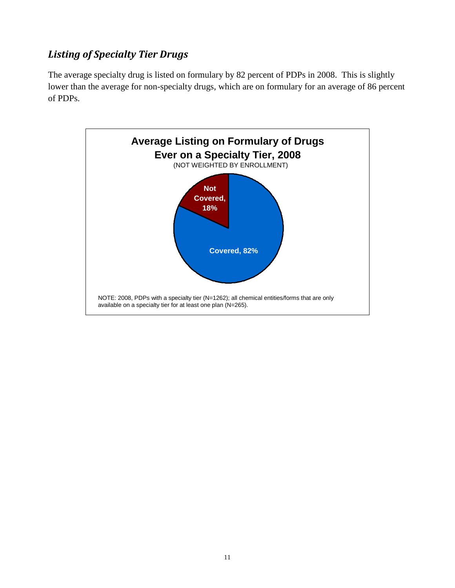#### *Listing of Specialty Tier Drugs*

The average specialty drug is listed on formulary by 82 percent of PDPs in 2008. This is slightly lower than the average for non-specialty drugs, which are on formulary for an average of 86 percent of PDPs.

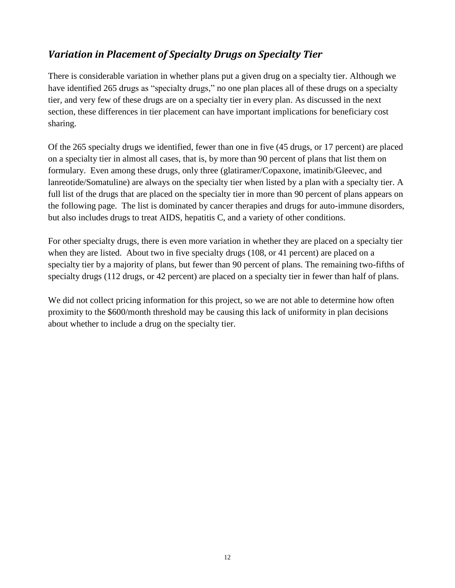#### *Variation in Placement of Specialty Drugs on Specialty Tier*

There is considerable variation in whether plans put a given drug on a specialty tier. Although we have identified 265 drugs as "specialty drugs," no one plan places all of these drugs on a specialty tier, and very few of these drugs are on a specialty tier in every plan. As discussed in the next section, these differences in tier placement can have important implications for beneficiary cost sharing.

Of the 265 specialty drugs we identified, fewer than one in five (45 drugs, or 17 percent) are placed on a specialty tier in almost all cases, that is, by more than 90 percent of plans that list them on formulary. Even among these drugs, only three (glatiramer/Copaxone, imatinib/Gleevec, and lanreotide/Somatuline) are always on the specialty tier when listed by a plan with a specialty tier. A full list of the drugs that are placed on the specialty tier in more than 90 percent of plans appears on the following page. The list is dominated by cancer therapies and drugs for auto-immune disorders, but also includes drugs to treat AIDS, hepatitis C, and a variety of other conditions.

For other specialty drugs, there is even more variation in whether they are placed on a specialty tier when they are listed. About two in five specialty drugs (108, or 41 percent) are placed on a specialty tier by a majority of plans, but fewer than 90 percent of plans. The remaining two-fifths of specialty drugs (112 drugs, or 42 percent) are placed on a specialty tier in fewer than half of plans.

We did not collect pricing information for this project, so we are not able to determine how often proximity to the \$600/month threshold may be causing this lack of uniformity in plan decisions about whether to include a drug on the specialty tier.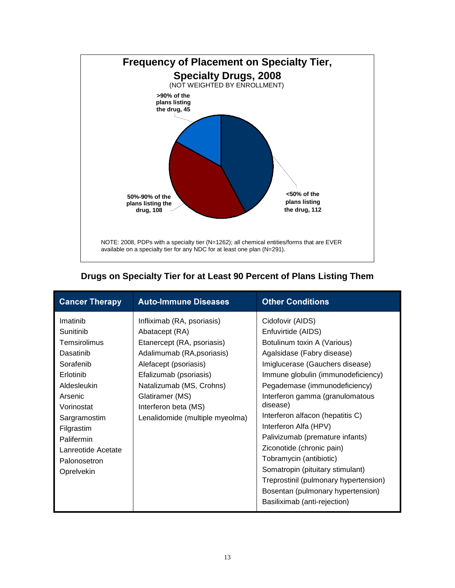

#### **Drugs on Specialty Tier for at Least 90 Percent of Plans Listing Them**

| <b>Cancer Therapy</b>                                                                                                                                                                                                | <b>Auto-Immune Diseases</b>                                                                                                                                                                                                                                           | <b>Other Conditions</b>                                                                                                                                                                                                                                                                                                                                                                                                                                                                                                                                                |
|----------------------------------------------------------------------------------------------------------------------------------------------------------------------------------------------------------------------|-----------------------------------------------------------------------------------------------------------------------------------------------------------------------------------------------------------------------------------------------------------------------|------------------------------------------------------------------------------------------------------------------------------------------------------------------------------------------------------------------------------------------------------------------------------------------------------------------------------------------------------------------------------------------------------------------------------------------------------------------------------------------------------------------------------------------------------------------------|
| Imatinib<br>Sunitinib<br>Temsirolimus<br>Dasatinib<br>Sorafenib<br>Erlotinib<br>Aldesleukin<br>Arsenic<br>Vorinostat<br>Sargramostim<br>Filgrastim<br>Palifermin<br>Lanreotide Acetate<br>Palonosetron<br>Oprelvekin | Infliximab (RA, psoriasis)<br>Abatacept (RA)<br>Etanercept (RA, psoriasis)<br>Adalimumab (RA, psoriasis)<br>Alefacept (psoriasis)<br>Efalizumab (psoriasis)<br>Natalizumab (MS, Crohns)<br>Glatiramer (MS)<br>Interferon beta (MS)<br>Lenalidomide (multiple myeolma) | Cidofovir (AIDS)<br>Enfuvirtide (AIDS)<br>Botulinum toxin A (Various)<br>Agalsidase (Fabry disease)<br>Imiglucerase (Gauchers disease)<br>Immune globulin (immunodeficiency)<br>Pegademase (immunodeficiency)<br>Interferon gamma (granulomatous<br>disease)<br>Interferon alfacon (hepatitis C)<br>Interferon Alfa (HPV)<br>Palivizumab (premature infants)<br>Ziconotide (chronic pain)<br>Tobramycin (antibiotic)<br>Somatropin (pituitary stimulant)<br>Treprostinil (pulmonary hypertension)<br>Bosentan (pulmonary hypertension)<br>Basiliximab (anti-rejection) |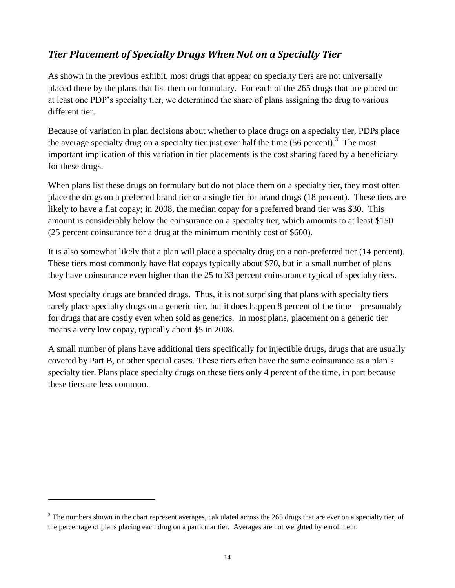#### *Tier Placement of Specialty Drugs When Not on a Specialty Tier*

As shown in the previous exhibit, most drugs that appear on specialty tiers are not universally placed there by the plans that list them on formulary. For each of the 265 drugs that are placed on at least one PDP's specialty tier, we determined the share of plans assigning the drug to various different tier.

Because of variation in plan decisions about whether to place drugs on a specialty tier, PDPs place the average specialty drug on a specialty tier just over half the time  $(56$  percent).<sup>3</sup> The most important implication of this variation in tier placements is the cost sharing faced by a beneficiary for these drugs.

When plans list these drugs on formulary but do not place them on a specialty tier, they most often place the drugs on a preferred brand tier or a single tier for brand drugs (18 percent). These tiers are likely to have a flat copay; in 2008, the median copay for a preferred brand tier was \$30. This amount is considerably below the coinsurance on a specialty tier, which amounts to at least \$150 (25 percent coinsurance for a drug at the minimum monthly cost of \$600).

It is also somewhat likely that a plan will place a specialty drug on a non-preferred tier (14 percent). These tiers most commonly have flat copays typically about \$70, but in a small number of plans they have coinsurance even higher than the 25 to 33 percent coinsurance typical of specialty tiers.

Most specialty drugs are branded drugs. Thus, it is not surprising that plans with specialty tiers rarely place specialty drugs on a generic tier, but it does happen 8 percent of the time – presumably for drugs that are costly even when sold as generics. In most plans, placement on a generic tier means a very low copay, typically about \$5 in 2008.

A small number of plans have additional tiers specifically for injectible drugs, drugs that are usually covered by Part B, or other special cases. These tiers often have the same coinsurance as a plan's specialty tier. Plans place specialty drugs on these tiers only 4 percent of the time, in part because these tiers are less common.

 $\overline{a}$ 

 $3$  The numbers shown in the chart represent averages, calculated across the 265 drugs that are ever on a specialty tier, of the percentage of plans placing each drug on a particular tier. Averages are not weighted by enrollment.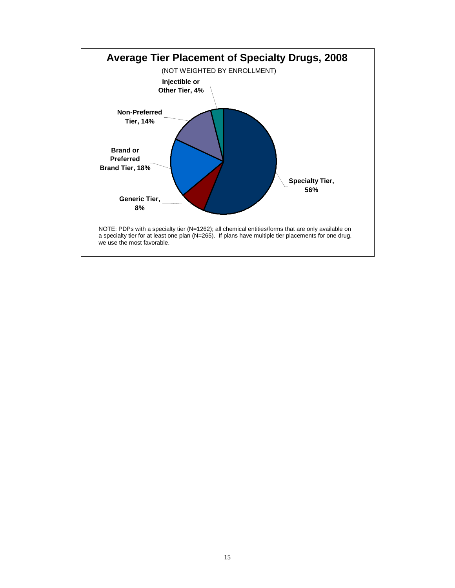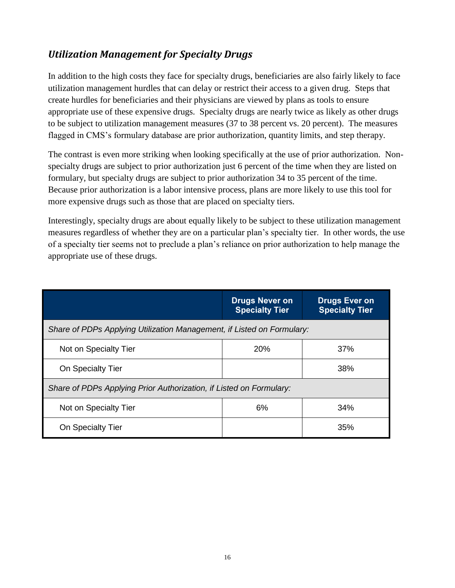#### *Utilization Management for Specialty Drugs*

In addition to the high costs they face for specialty drugs, beneficiaries are also fairly likely to face utilization management hurdles that can delay or restrict their access to a given drug. Steps that create hurdles for beneficiaries and their physicians are viewed by plans as tools to ensure appropriate use of these expensive drugs. Specialty drugs are nearly twice as likely as other drugs to be subject to utilization management measures (37 to 38 percent vs. 20 percent). The measures flagged in CMS's formulary database are prior authorization, quantity limits, and step therapy.

The contrast is even more striking when looking specifically at the use of prior authorization. Nonspecialty drugs are subject to prior authorization just 6 percent of the time when they are listed on formulary, but specialty drugs are subject to prior authorization 34 to 35 percent of the time. Because prior authorization is a labor intensive process, plans are more likely to use this tool for more expensive drugs such as those that are placed on specialty tiers.

Interestingly, specialty drugs are about equally likely to be subject to these utilization management measures regardless of whether they are on a particular plan's specialty tier. In other words, the use of a specialty tier seems not to preclude a plan's reliance on prior authorization to help manage the appropriate use of these drugs.

|                                                                        | <b>Drugs Never on</b><br><b>Specialty Tier</b> | <b>Drugs Ever on</b><br><b>Specialty Tier</b> |  |  |
|------------------------------------------------------------------------|------------------------------------------------|-----------------------------------------------|--|--|
| Share of PDPs Applying Utilization Management, if Listed on Formulary: |                                                |                                               |  |  |
| Not on Specialty Tier                                                  | 20%                                            | 37%                                           |  |  |
| On Specialty Tier                                                      |                                                | 38%                                           |  |  |
| Share of PDPs Applying Prior Authorization, if Listed on Formulary:    |                                                |                                               |  |  |
| Not on Specialty Tier                                                  | 6%                                             | 34%                                           |  |  |
| On Specialty Tier                                                      |                                                | 35%                                           |  |  |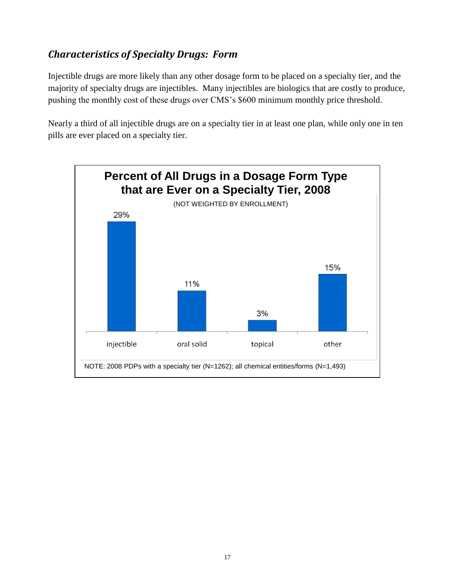#### *Characteristics of Specialty Drugs: Form*

Injectible drugs are more likely than any other dosage form to be placed on a specialty tier, and the majority of specialty drugs are injectibles. Many injectibles are biologics that are costly to produce, pushing the monthly cost of these drugs over CMS's \$600 minimum monthly price threshold.

Nearly a third of all injectible drugs are on a specialty tier in at least one plan, while only one in ten pills are ever placed on a specialty tier.

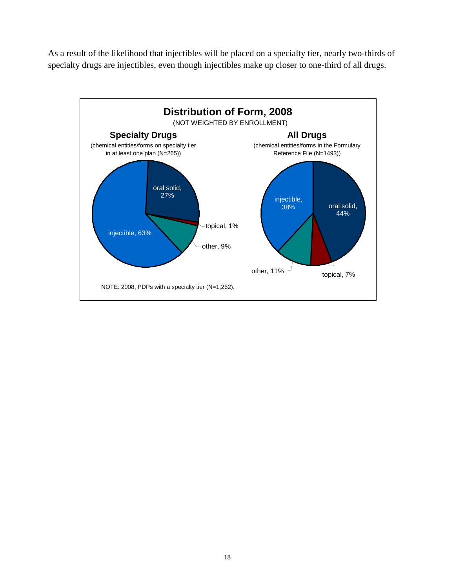As a result of the likelihood that injectibles will be placed on a specialty tier, nearly two-thirds of specialty drugs are injectibles, even though injectibles make up closer to one-third of all drugs.

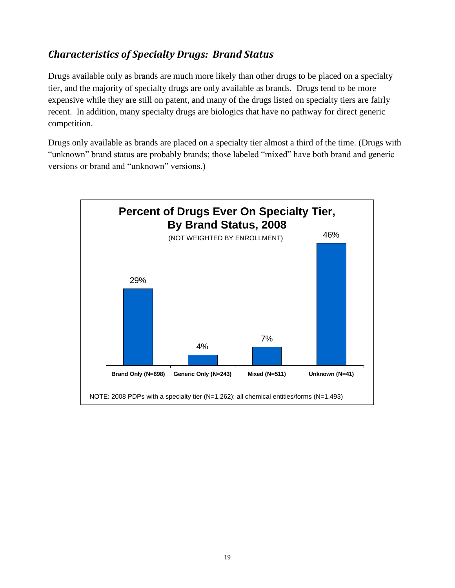#### *Characteristics of Specialty Drugs: Brand Status*

Drugs available only as brands are much more likely than other drugs to be placed on a specialty tier, and the majority of specialty drugs are only available as brands. Drugs tend to be more expensive while they are still on patent, and many of the drugs listed on specialty tiers are fairly recent. In addition, many specialty drugs are biologics that have no pathway for direct generic competition.

Drugs only available as brands are placed on a specialty tier almost a third of the time. (Drugs with "unknown" brand status are probably brands; those labeled "mixed" have both brand and generic versions or brand and "unknown" versions.)

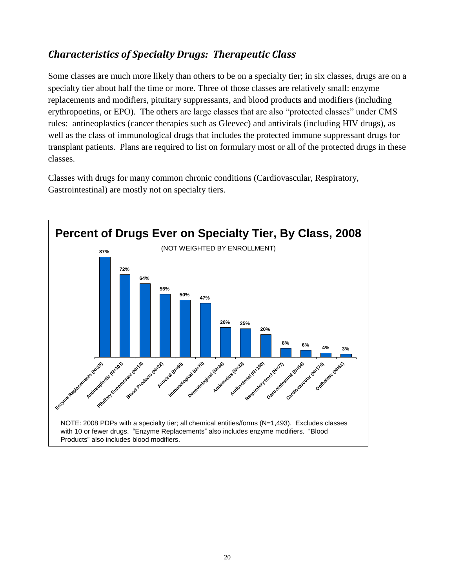#### *Characteristics of Specialty Drugs: Therapeutic Class*

Some classes are much more likely than others to be on a specialty tier; in six classes, drugs are on a specialty tier about half the time or more. Three of those classes are relatively small: enzyme replacements and modifiers, pituitary suppressants, and blood products and modifiers (including erythropoetins, or EPO). The others are large classes that are also "protected classes" under CMS rules: antineoplastics (cancer therapies such as Gleevec) and antivirals (including HIV drugs), as well as the class of immunological drugs that includes the protected immune suppressant drugs for transplant patients. Plans are required to list on formulary most or all of the protected drugs in these classes.

Classes with drugs for many common chronic conditions (Cardiovascular, Respiratory, Gastrointestinal) are mostly not on specialty tiers.